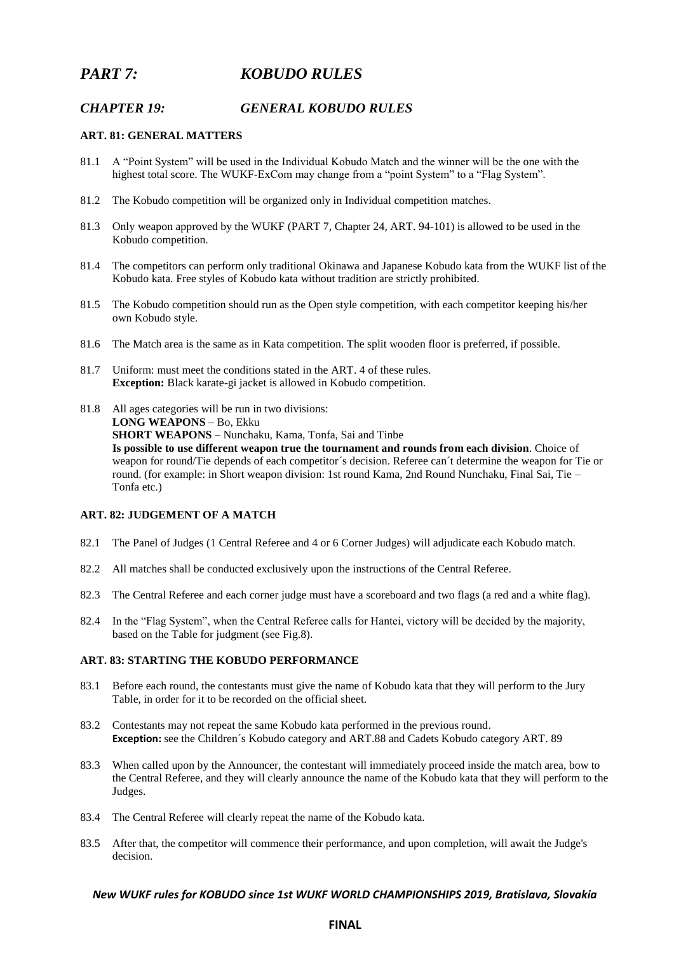# *PART 7: KOBUDO RULES*

# *CHAPTER 19: GENERAL KOBUDO RULES*

### **ART. 81: GENERAL MATTERS**

- 81.1 A "Point System" will be used in the Individual Kobudo Match and the winner will be the one with the highest total score. The WUKF-ExCom may change from a "point System" to a "Flag System".
- 81.2 The Kobudo competition will be organized only in Individual competition matches.
- 81.3 Only weapon approved by the WUKF (PART 7, Chapter 24, ART. 94-101) is allowed to be used in the Kobudo competition.
- 81.4 The competitors can perform only traditional Okinawa and Japanese Kobudo kata from the WUKF list of the Kobudo kata. Free styles of Kobudo kata without tradition are strictly prohibited.
- 81.5 The Kobudo competition should run as the Open style competition, with each competitor keeping his/her own Kobudo style.
- 81.6 The Match area is the same as in Kata competition. The split wooden floor is preferred, if possible.
- 81.7 Uniform: must meet the conditions stated in the ART. 4 of these rules. **Exception:** Black karate-gi jacket is allowed in Kobudo competition.
- 81.8 All ages categories will be run in two divisions: **LONG WEAPONS** – Bo, Ekku **SHORT WEAPONS** – Nunchaku, Kama, Tonfa, Sai and Tinbe **Is possible to use different weapon true the tournament and rounds from each division**. Choice of weapon for round/Tie depends of each competitor´s decision. Referee can´t determine the weapon for Tie or round. (for example: in Short weapon division: 1st round Kama, 2nd Round Nunchaku, Final Sai, Tie – Tonfa etc.)

# **ART. 82: JUDGEMENT OF A MATCH**

- 82.1 The Panel of Judges (1 Central Referee and 4 or 6 Corner Judges) will adjudicate each Kobudo match.
- 82.2 All matches shall be conducted exclusively upon the instructions of the Central Referee.
- 82.3 The Central Referee and each corner judge must have a scoreboard and two flags (a red and a white flag).
- 82.4 In the "Flag System", when the Central Referee calls for Hantei, victory will be decided by the majority, based on the Table for judgment (see Fig.8).

## **ART. 83: STARTING THE KOBUDO PERFORMANCE**

- 83.1 Before each round, the contestants must give the name of Kobudo kata that they will perform to the Jury Table, in order for it to be recorded on the official sheet.
- 83.2 Contestants may not repeat the same Kobudo kata performed in the previous round. **Exception:** see the Children´s Kobudo category and ART.88 and Cadets Kobudo category ART. 89
- 83.3 When called upon by the Announcer, the contestant will immediately proceed inside the match area, bow to the Central Referee, and they will clearly announce the name of the Kobudo kata that they will perform to the Judges.
- 83.4 The Central Referee will clearly repeat the name of the Kobudo kata.
- 83.5 After that, the competitor will commence their performance, and upon completion, will await the Judge's decision.

### *New WUKF rules for KOBUDO since 1st WUKF WORLD CHAMPIONSHIPS 2019, Bratislava, Slovakia*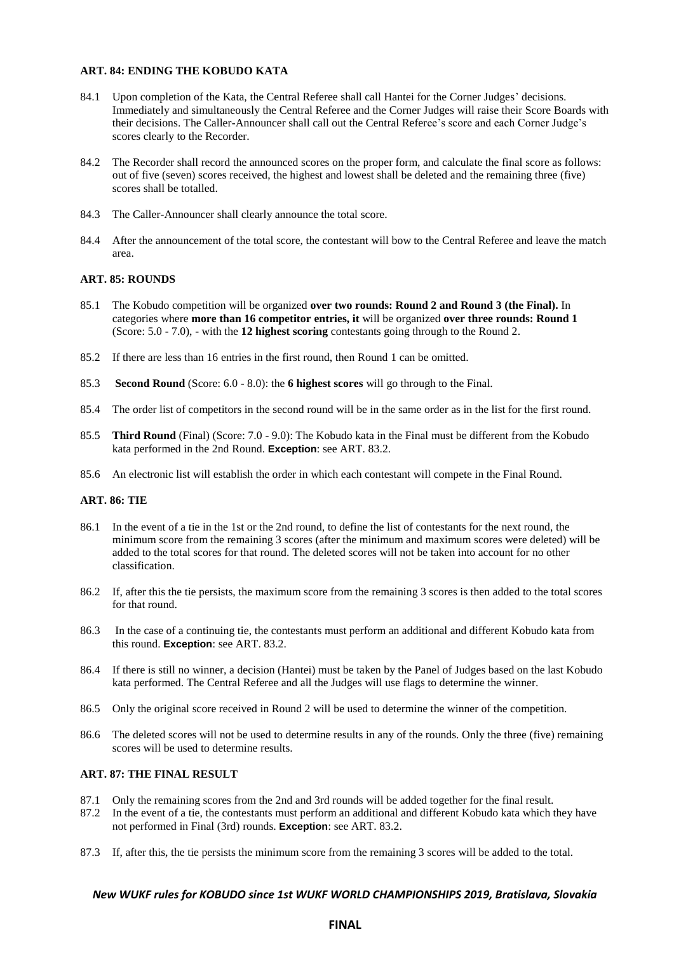## **ART. 84: ENDING THE KOBUDO KATA**

- 84.1 Upon completion of the Kata, the Central Referee shall call Hantei for the Corner Judges' decisions. Immediately and simultaneously the Central Referee and the Corner Judges will raise their Score Boards with their decisions. The Caller-Announcer shall call out the Central Referee's score and each Corner Judge's scores clearly to the Recorder.
- 84.2 The Recorder shall record the announced scores on the proper form, and calculate the final score as follows: out of five (seven) scores received, the highest and lowest shall be deleted and the remaining three (five) scores shall be totalled.
- 84.3 The Caller-Announcer shall clearly announce the total score.
- 84.4 After the announcement of the total score, the contestant will bow to the Central Referee and leave the match area.

### **ART. 85: ROUNDS**

- 85.1 The Kobudo competition will be organized **over two rounds: Round 2 and Round 3 (the Final).** In categories where **more than 16 competitor entries, it** will be organized **over three rounds: Round 1** (Score: 5.0 - 7.0), - with the **12 highest scoring** contestants going through to the Round 2.
- 85.2 If there are less than 16 entries in the first round, then Round 1 can be omitted.
- 85.3 **Second Round** (Score: 6.0 8.0): the **6 highest scores** will go through to the Final.
- 85.4 The order list of competitors in the second round will be in the same order as in the list for the first round.
- 85.5 **Third Round** (Final) (Score: 7.0 9.0): The Kobudo kata in the Final must be different from the Kobudo kata performed in the 2nd Round. **Exception**: see ART. 83.2.
- 85.6 An electronic list will establish the order in which each contestant will compete in the Final Round.

### **ART. 86: TIE**

- 86.1 In the event of a tie in the 1st or the 2nd round, to define the list of contestants for the next round, the minimum score from the remaining 3 scores (after the minimum and maximum scores were deleted) will be added to the total scores for that round. The deleted scores will not be taken into account for no other classification.
- 86.2 If, after this the tie persists, the maximum score from the remaining 3 scores is then added to the total scores for that round.
- 86.3 In the case of a continuing tie, the contestants must perform an additional and different Kobudo kata from this round. **Exception**: see ART. 83.2.
- 86.4 If there is still no winner, a decision (Hantei) must be taken by the Panel of Judges based on the last Kobudo kata performed. The Central Referee and all the Judges will use flags to determine the winner.
- 86.5 Only the original score received in Round 2 will be used to determine the winner of the competition.
- 86.6 The deleted scores will not be used to determine results in any of the rounds. Only the three (five) remaining scores will be used to determine results.

## **ART. 87: THE FINAL RESULT**

- 87.1 Only the remaining scores from the 2nd and 3rd rounds will be added together for the final result.
- 87.2 In the event of a tie, the contestants must perform an additional and different Kobudo kata which they have not performed in Final (3rd) rounds. **Exception**: see ART. 83.2.
- 87.3 If, after this, the tie persists the minimum score from the remaining 3 scores will be added to the total.

#### *New WUKF rules for KOBUDO since 1st WUKF WORLD CHAMPIONSHIPS 2019, Bratislava, Slovakia*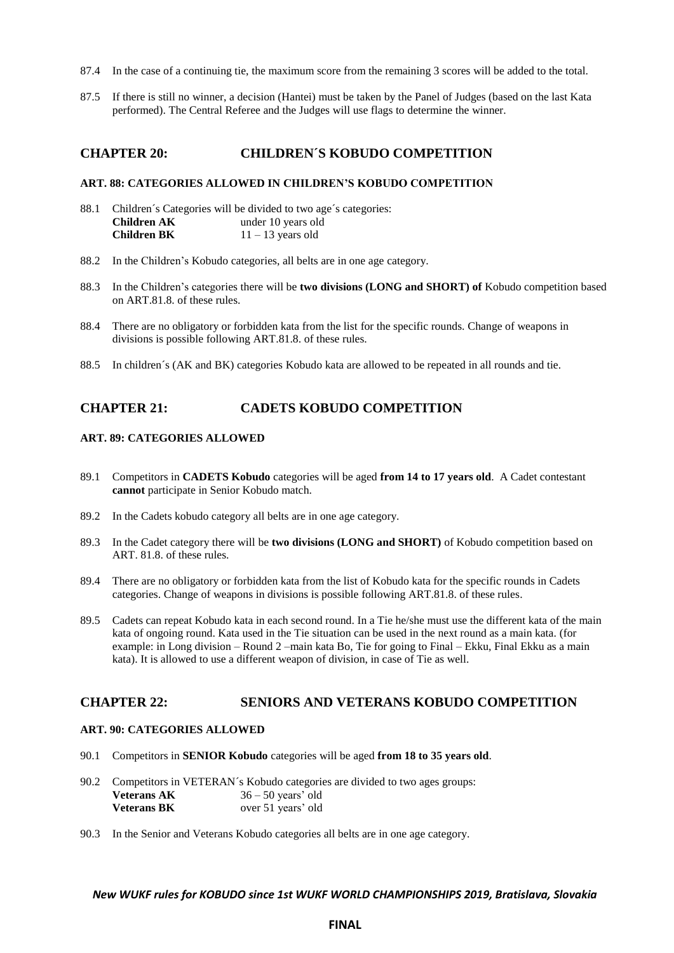- 87.4 In the case of a continuing tie, the maximum score from the remaining 3 scores will be added to the total.
- 87.5 If there is still no winner, a decision (Hantei) must be taken by the Panel of Judges (based on the last Kata performed). The Central Referee and the Judges will use flags to determine the winner.

## **CHAPTER 20: CHILDREN´S KOBUDO COMPETITION**

### **ART. 88: CATEGORIES ALLOWED IN CHILDREN'S KOBUDO COMPETITION**

- 88.1 Children´s Categories will be divided to two age´s categories: **Children AK** under 10 years old **Children BK** 11 – 13 years old
- 88.2 In the Children's Kobudo categories, all belts are in one age category.
- 88.3 In the Children's categories there will be **two divisions (LONG and SHORT) of** Kobudo competition based on ART.81.8. of these rules.
- 88.4 There are no obligatory or forbidden kata from the list for the specific rounds. Change of weapons in divisions is possible following ART.81.8. of these rules.
- 88.5 In children´s (AK and BK) categories Kobudo kata are allowed to be repeated in all rounds and tie.

# **CHAPTER 21: CADETS KOBUDO COMPETITION**

### **ART. 89: CATEGORIES ALLOWED**

- 89.1 Competitors in **CADETS Kobudo** categories will be aged **from 14 to 17 years old**. A Cadet contestant **cannot** participate in Senior Kobudo match.
- 89.2 In the Cadets kobudo category all belts are in one age category.
- 89.3 In the Cadet category there will be **two divisions (LONG and SHORT)** of Kobudo competition based on ART. 81.8. of these rules.
- 89.4 There are no obligatory or forbidden kata from the list of Kobudo kata for the specific rounds in Cadets categories. Change of weapons in divisions is possible following ART.81.8. of these rules.
- 89.5 Cadets can repeat Kobudo kata in each second round. In a Tie he/she must use the different kata of the main kata of ongoing round. Kata used in the Tie situation can be used in the next round as a main kata. (for example: in Long division – Round 2 –main kata Bo, Tie for going to Final – Ekku, Final Ekku as a main kata). It is allowed to use a different weapon of division, in case of Tie as well.

### **CHAPTER 22: SENIORS AND VETERANS KOBUDO COMPETITION**

### **ART. 90: CATEGORIES ALLOWED**

- 90.1 Competitors in **SENIOR Kobudo** categories will be aged **from 18 to 35 years old**.
- 90.2 Competitors in VETERAN´s Kobudo categories are divided to two ages groups: **Veterans AK** 36 – 50 years' old **Veterans BK** over 51 years' old
- 90.3 In the Senior and Veterans Kobudo categories all belts are in one age category.

#### *New WUKF rules for KOBUDO since 1st WUKF WORLD CHAMPIONSHIPS 2019, Bratislava, Slovakia*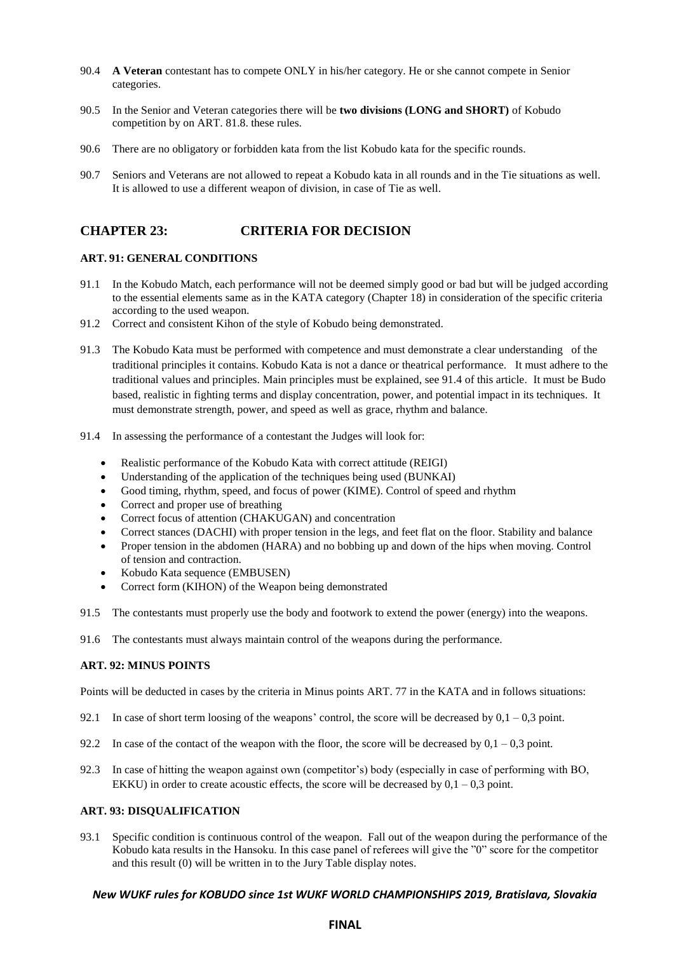- 90.4 **A Veteran** contestant has to compete ONLY in his/her category. He or she cannot compete in Senior categories.
- 90.5 In the Senior and Veteran categories there will be **two divisions (LONG and SHORT)** of Kobudo competition by on ART. 81.8. these rules.
- 90.6 There are no obligatory or forbidden kata from the list Kobudo kata for the specific rounds.
- 90.7 Seniors and Veterans are not allowed to repeat a Kobudo kata in all rounds and in the Tie situations as well. It is allowed to use a different weapon of division, in case of Tie as well.

# **CHAPTER 23: CRITERIA FOR DECISION**

## **ART. 91: GENERAL CONDITIONS**

- 91.1 In the Kobudo Match, each performance will not be deemed simply good or bad but will be judged according to the essential elements same as in the KATA category (Chapter 18) in consideration of the specific criteria according to the used weapon.
- 91.2 Correct and consistent Kihon of the style of Kobudo being demonstrated.
- 91.3 The Kobudo Kata must be performed with competence and must demonstrate a clear understanding of the traditional principles it contains. Kobudo Kata is not a dance or theatrical performance. It must adhere to the traditional values and principles. Main principles must be explained, see 91.4 of this article. It must be Budo based, realistic in fighting terms and display concentration, power, and potential impact in its techniques. It must demonstrate strength, power, and speed as well as grace, rhythm and balance.
- 91.4 In assessing the performance of a contestant the Judges will look for:
	- Realistic performance of the Kobudo Kata with correct attitude (REIGI)
	- Understanding of the application of the techniques being used (BUNKAI)
	- Good timing, rhythm, speed, and focus of power (KIME). Control of speed and rhythm
	- Correct and proper use of breathing
	- Correct focus of attention (CHAKUGAN) and concentration
	- Correct stances (DACHI) with proper tension in the legs, and feet flat on the floor. Stability and balance
	- Proper tension in the abdomen (HARA) and no bobbing up and down of the hips when moving. Control of tension and contraction.
	- Kobudo Kata sequence (EMBUSEN)
	- Correct form (KIHON) of the Weapon being demonstrated
- 91.5 The contestants must properly use the body and footwork to extend the power (energy) into the weapons.
- 91.6 The contestants must always maintain control of the weapons during the performance.

## **ART. 92: MINUS POINTS**

Points will be deducted in cases by the criteria in Minus points ART. 77 in the KATA and in follows situations:

- 92.1 In case of short term loosing of the weapons' control, the score will be decreased by  $0.1 0.3$  point.
- 92.2 In case of the contact of the weapon with the floor, the score will be decreased by  $0.1 0.3$  point.
- 92.3 In case of hitting the weapon against own (competitor's) body (especially in case of performing with BO, EKKU) in order to create acoustic effects, the score will be decreased by  $0,1 - 0,3$  point.

### **ART. 93: DISQUALIFICATION**

93.1 Specific condition is continuous control of the weapon. Fall out of the weapon during the performance of the Kobudo kata results in the Hansoku. In this case panel of referees will give the "0" score for the competitor and this result (0) will be written in to the Jury Table display notes.

### *New WUKF rules for KOBUDO since 1st WUKF WORLD CHAMPIONSHIPS 2019, Bratislava, Slovakia*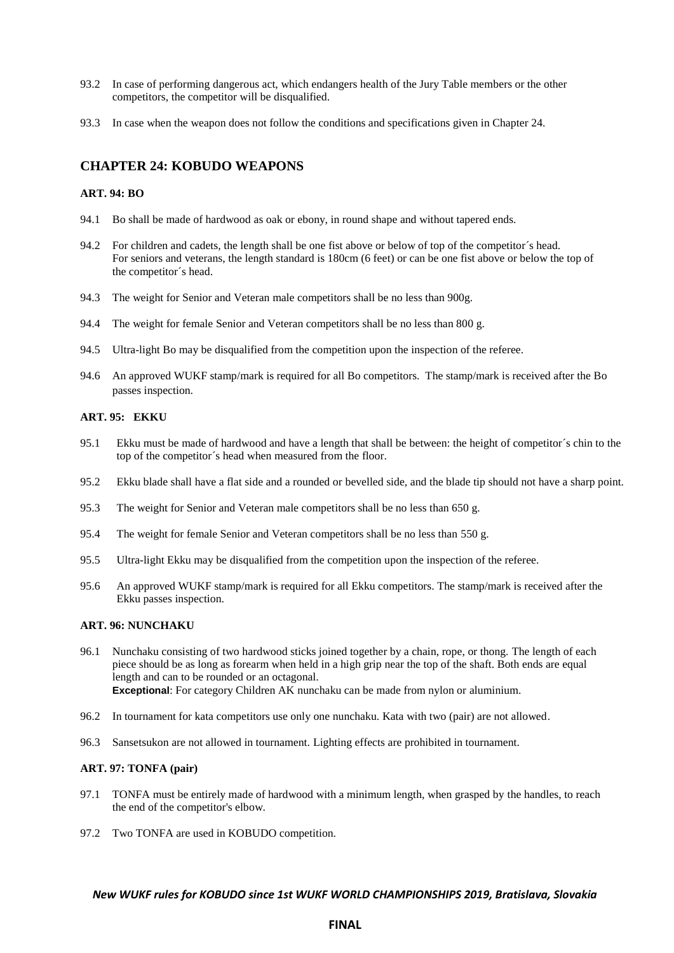- 93.2 In case of performing dangerous act, which endangers health of the Jury Table members or the other competitors, the competitor will be disqualified.
- 93.3 In case when the weapon does not follow the conditions and specifications given in Chapter 24.

# **CHAPTER 24: KOBUDO WEAPONS**

### **ART. 94: BO**

- 94.1 Bo shall be made of hardwood as oak or ebony, in round shape and without tapered ends.
- 94.2 For children and cadets, the length shall be one fist above or below of top of the competitor´s head. For seniors and veterans, the length standard is 180cm (6 feet) or can be one fist above or below the top of the competitor´s head.
- 94.3 The weight for Senior and Veteran male competitors shall be no less than 900g.
- 94.4 The weight for female Senior and Veteran competitors shall be no less than 800 g.
- 94.5 Ultra-light Bo may be disqualified from the competition upon the inspection of the referee.
- 94.6 An approved WUKF stamp/mark is required for all Bo competitors. The stamp/mark is received after the Bo passes inspection.

## **ART. 95: EKKU**

- 95.1 Ekku must be made of hardwood and have a length that shall be between: the height of competitor´s chin to the top of the competitor´s head when measured from the floor.
- 95.2 Ekku blade shall have a flat side and a rounded or bevelled side, and the blade tip should not have a sharp point.
- 95.3 The weight for Senior and Veteran male competitors shall be no less than 650 g.
- 95.4 The weight for female Senior and Veteran competitors shall be no less than 550 g.
- 95.5 Ultra-light Ekku may be disqualified from the competition upon the inspection of the referee.
- 95.6 An approved WUKF stamp/mark is required for all Ekku competitors. The stamp/mark is received after the Ekku passes inspection.

## **ART. 96: NUNCHAKU**

- 96.1 Nunchaku consisting of two hardwood sticks joined together by a chain, rope, or thong. The length of each piece should be as long as forearm when held in a high grip near the top of the shaft. Both ends are equal length and can to be rounded or an octagonal. **Exceptional**: For category Children AK nunchaku can be made from nylon or aluminium.
- 96.2 In tournament for kata competitors use only one nunchaku. Kata with two (pair) are not allowed.
- 96.3 Sansetsukon are not allowed in tournament. Lighting effects are prohibited in tournament.

#### **ART. 97: TONFA (pair)**

- 97.1 TONFA must be entirely made of hardwood with a minimum length, when grasped by the handles, to reach the end of the competitor's elbow.
- 97.2 Two TONFA are used in KOBUDO competition.

#### *New WUKF rules for KOBUDO since 1st WUKF WORLD CHAMPIONSHIPS 2019, Bratislava, Slovakia*